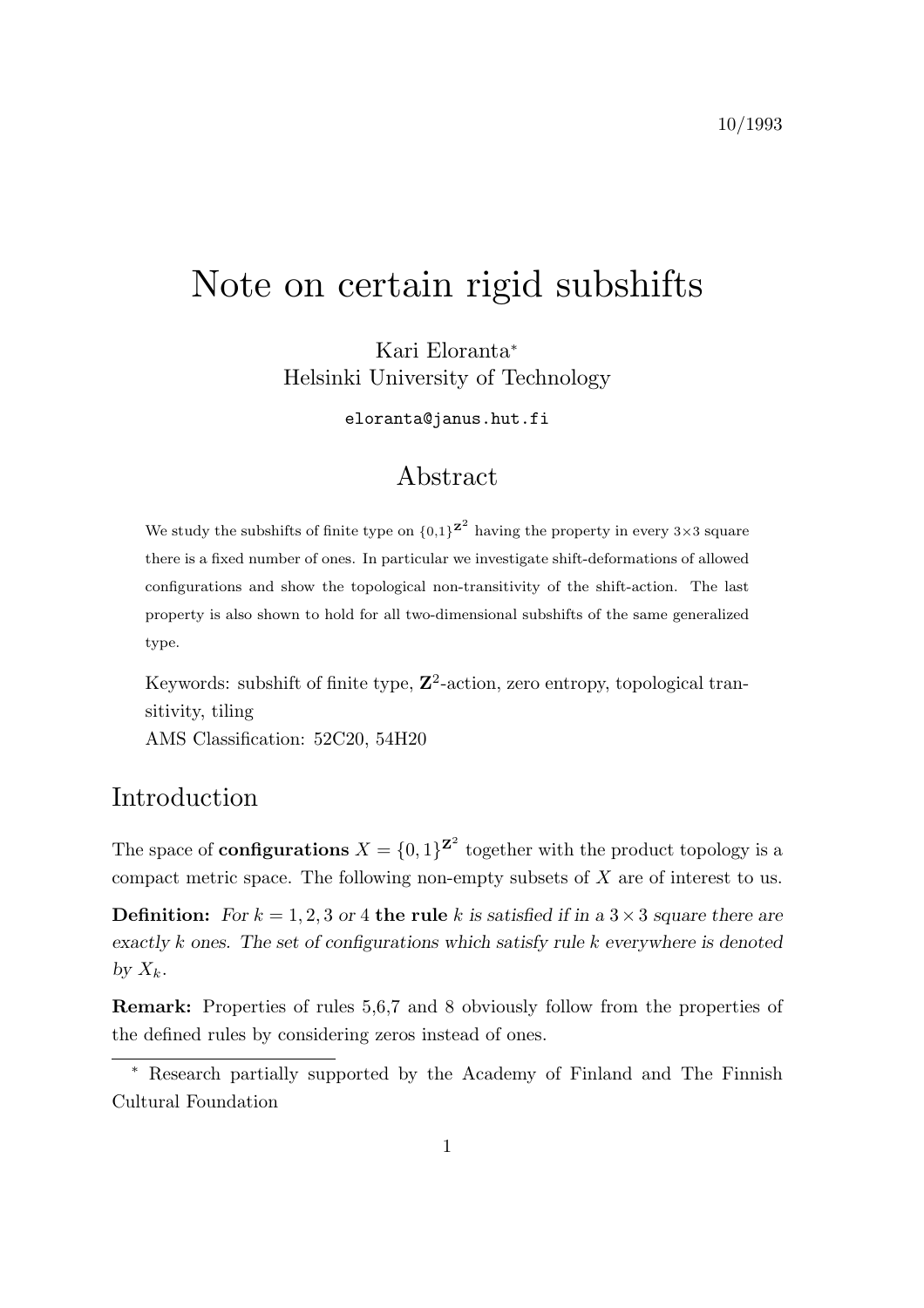# Note on certain rigid subshifts

Kari Eloranta<sup>∗</sup> Helsinki University of Technology

eloranta@janus.hut.fi

## Abstract

We study the subshifts of finite type on  ${0,1}^{\mathbf{z}^2}$  having the property in every 3×3 square there is a fixed number of ones. In particular we investigate shift-deformations of allowed configurations and show the topological non-transitivity of the shift-action. The last property is also shown to hold for all two-dimensional subshifts of the same generalized type.

Keywords: subshift of finite type,  $\mathbb{Z}^2$ -action, zero entropy, topological transitivity, tiling AMS Classification: 52C20, 54H20

# Introduction

The space of **configurations**  $X = \{0, 1\}^{\mathbf{Z}^2}$  together with the product topology is a compact metric space. The following non-empty subsets of X are of interest to us.

**Definition:** For  $k = 1, 2, 3$  or 4 the rule k is satisfied if in a  $3 \times 3$  square there are *exactly* k ones. The set of configurations which satisfy rule k *everywhere* is denoted by  $X_k$ .

Remark: Properties of rules 5,6,7 and 8 obviously follow from the properties of the defined rules by considering zeros instead of ones.

<sup>∗</sup> Research partially supported by the Academy of Finland and The Finnish Cultural Foundation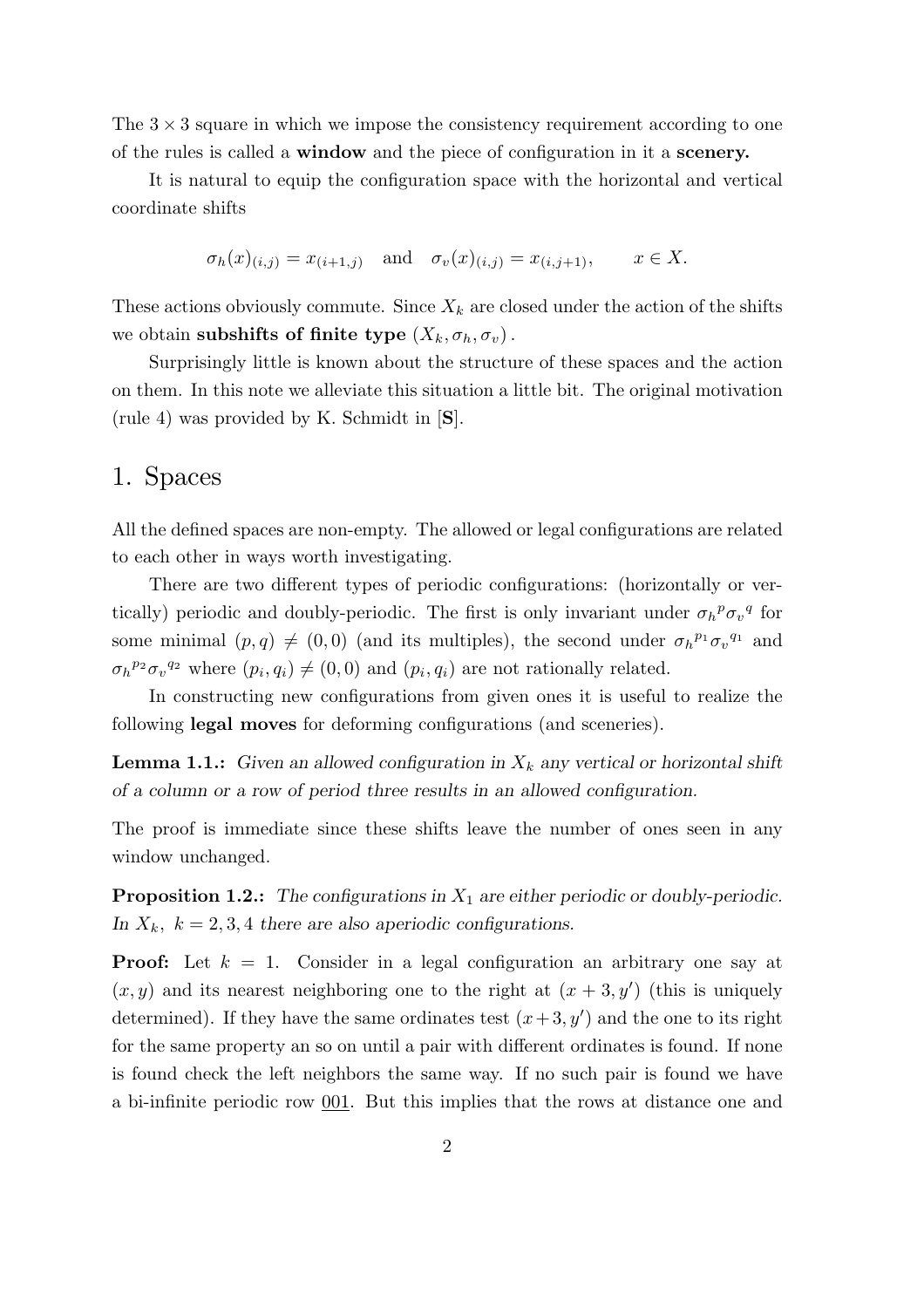The  $3 \times 3$  square in which we impose the consistency requirement according to one of the rules is called a window and the piece of configuration in it a scenery.

It is natural to equip the configuration space with the horizontal and vertical coordinate shifts

$$
\sigma_h(x)_{(i,j)} = x_{(i+1,j)}
$$
 and  $\sigma_v(x)_{(i,j)} = x_{(i,j+1)}$ ,  $x \in X$ .

These actions obviously commute. Since  $X_k$  are closed under the action of the shifts we obtain subshifts of finite type  $(X_k, \sigma_h, \sigma_v)$ .

Surprisingly little is known about the structure of these spaces and the action on them. In this note we alleviate this situation a little bit. The original motivation (rule 4) was provided by K. Schmidt in [S].

### 1. Spaces

All the defined spaces are non-empty. The allowed or legal configurations are related to each other in ways worth investigating.

There are two different types of periodic configurations: (horizontally or vertically) periodic and doubly-periodic. The first is only invariant under  $\sigma_h^{\ p} \sigma_v^{\ q}$  for some minimal  $(p, q) \neq (0, 0)$  (and its multiples), the second under  $\sigma_h^{p_1} \sigma_v^{q_1}$  and  $\sigma_h^{p_2} \sigma_v^{q_2}$  where  $(p_i, q_i) \neq (0, 0)$  and  $(p_i, q_i)$  are not rationally related.

In constructing new configurations from given ones it is useful to realize the following legal moves for deforming configurations (and sceneries).

**Lemma 1.1.:** Given an allowed configuration in  $X_k$  any vertical or horizontal shift *of a column or a row of period three results in an allowed configuration.*

The proof is immediate since these shifts leave the number of ones seen in any window unchanged.

Proposition 1.2.: *The configurations in*  $X_1$  *are either periodic or doubly-periodic.* In  $X_k$ ,  $k = 2, 3, 4$  *there are also aperiodic configurations.* 

**Proof:** Let  $k = 1$ . Consider in a legal configuration an arbitrary one say at  $(x, y)$  and its nearest neighboring one to the right at  $(x + 3, y')$  (this is uniquely determined). If they have the same ordinates test  $(x+3, y')$  and the one to its right for the same property an so on until a pair with different ordinates is found. If none is found check the left neighbors the same way. If no such pair is found we have a bi-infinite periodic row 001. But this implies that the rows at distance one and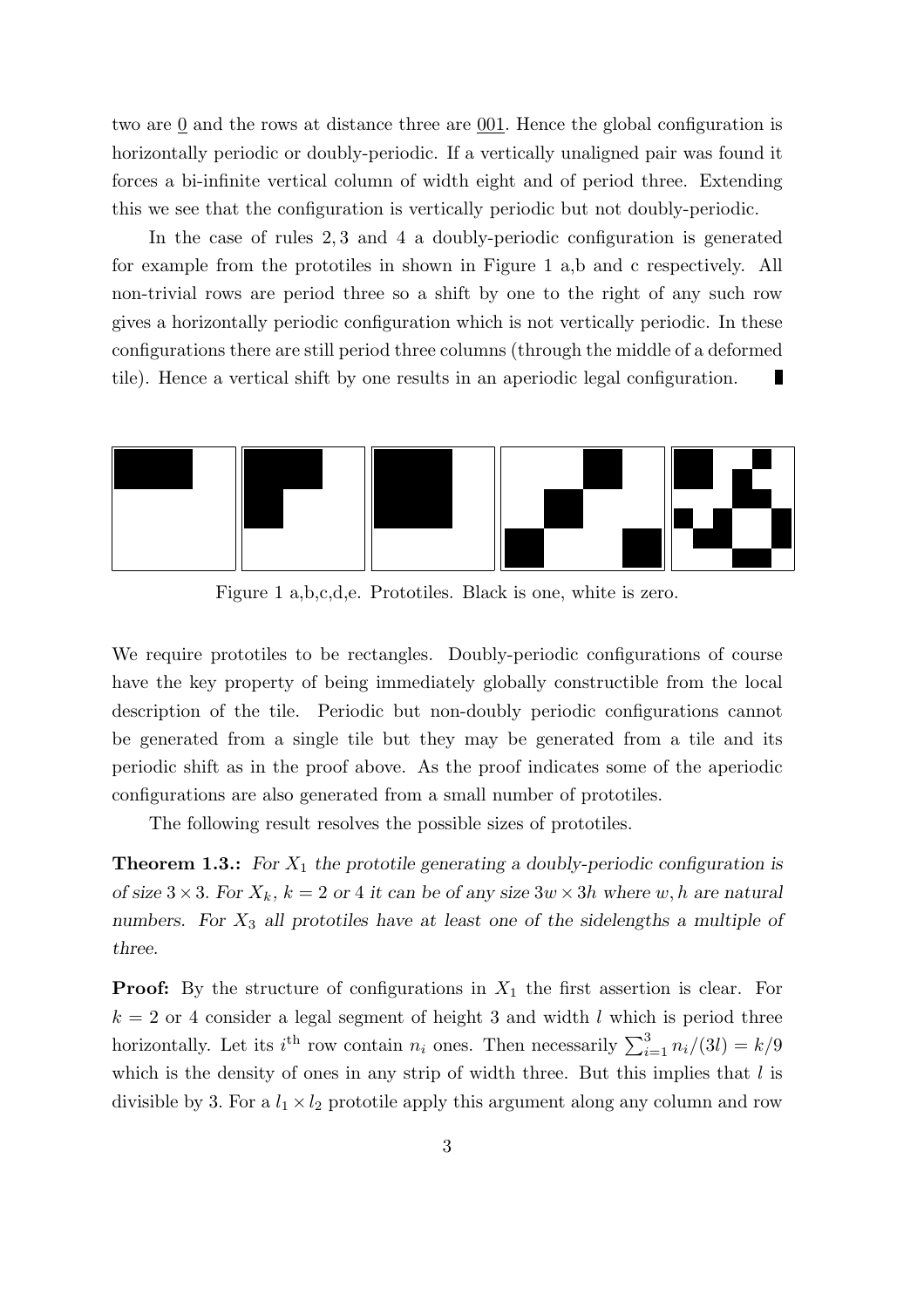two are 0 and the rows at distance three are 001. Hence the global configuration is horizontally periodic or doubly-periodic. If a vertically unaligned pair was found it forces a bi-infinite vertical column of width eight and of period three. Extending this we see that the configuration is vertically periodic but not doubly-periodic.

In the case of rules 2, 3 and 4 a doubly-periodic configuration is generated for example from the prototiles in shown in Figure 1 a,b and c respectively. All non-trivial rows are period three so a shift by one to the right of any such row gives a horizontally periodic configuration which is not vertically periodic. In these configurations there are still period three columns (through the middle of a deformed tile). Hence a vertical shift by one results in an aperiodic legal configuration.



Figure 1 a,b,c,d,e. Prototiles. Black is one, white is zero.

We require prototiles to be rectangles. Doubly-periodic configurations of course have the key property of being immediately globally constructible from the local description of the tile. Periodic but non-doubly periodic configurations cannot be generated from a single tile but they may be generated from a tile and its periodic shift as in the proof above. As the proof indicates some of the aperiodic configurations are also generated from a small number of prototiles.

The following result resolves the possible sizes of prototiles.

**Theorem 1.3.:** *For*  $X_1$  *the prototile generating a doubly-periodic configuration is of size*  $3 \times 3$ . For  $X_k$ ,  $k = 2$  or 4 it can be of any size  $3w \times 3h$  where w, h are natural *numbers. For* X<sup>3</sup> *all prototiles have at least one of the sidelengths a multiple of three.*

**Proof:** By the structure of configurations in  $X_1$  the first assertion is clear. For  $k = 2$  or 4 consider a legal segment of height 3 and width l which is period three horizontally. Let its  $i^{\text{th}}$  row contain  $n_i$  ones. Then necessarily  $\sum_{i=1}^{3} n_i/(3l) = k/9$ which is the density of ones in any strip of width three. But this implies that  $l$  is divisible by 3. For a  $l_1 \times l_2$  prototile apply this argument along any column and row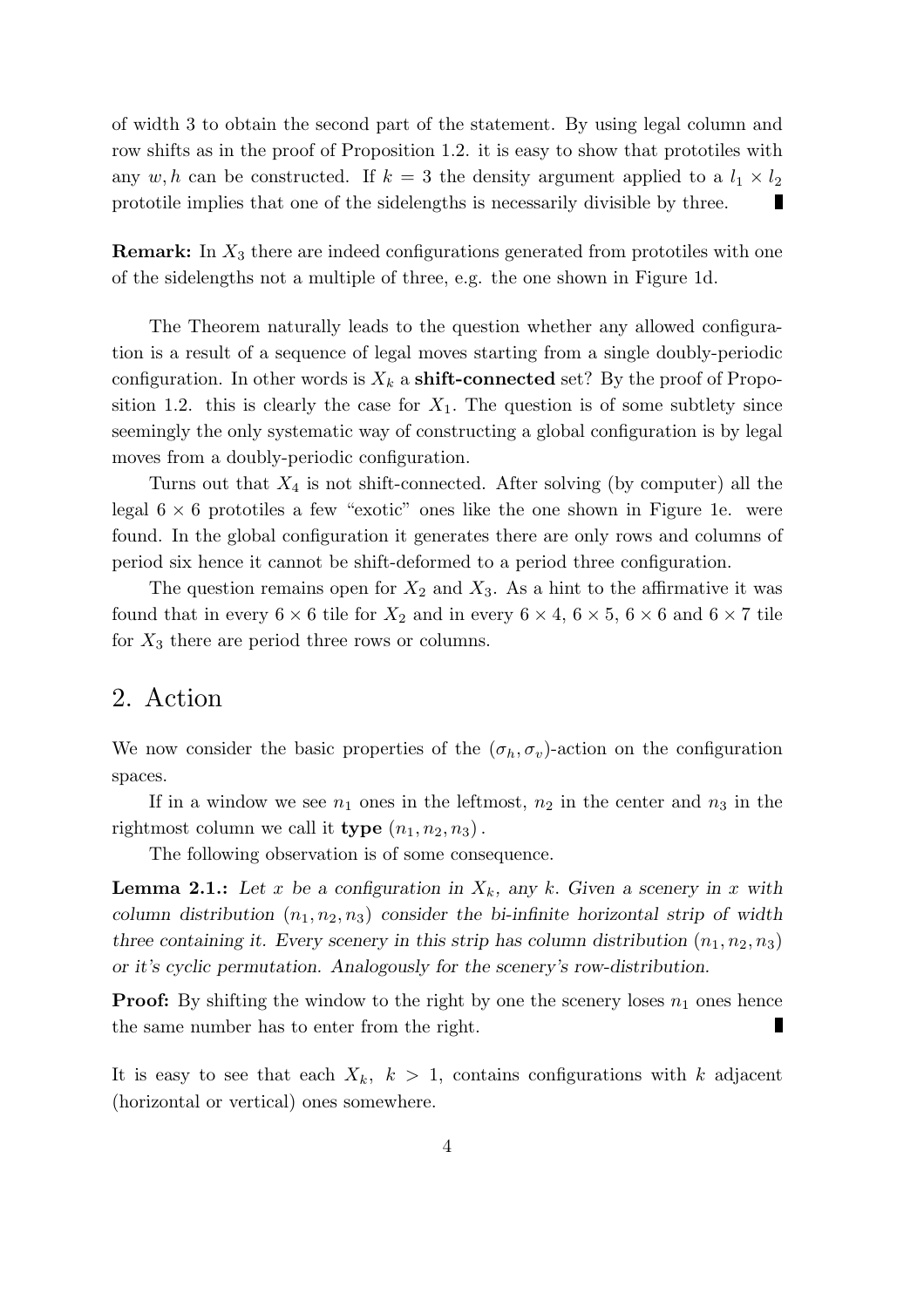of width 3 to obtain the second part of the statement. By using legal column and row shifts as in the proof of Proposition 1.2. it is easy to show that prototiles with any w, h can be constructed. If  $k = 3$  the density argument applied to a  $l_1 \times l_2$ prototile implies that one of the sidelengths is necessarily divisible by three. н

**Remark:** In  $X_3$  there are indeed configurations generated from prototiles with one of the sidelengths not a multiple of three, e.g. the one shown in Figure 1d.

The Theorem naturally leads to the question whether any allowed configuration is a result of a sequence of legal moves starting from a single doubly-periodic configuration. In other words is  $X_k$  a **shift-connected** set? By the proof of Proposition 1.2. this is clearly the case for  $X_1$ . The question is of some subtlety since seemingly the only systematic way of constructing a global configuration is by legal moves from a doubly-periodic configuration.

Turns out that  $X_4$  is not shift-connected. After solving (by computer) all the legal  $6 \times 6$  prototiles a few "exotic" ones like the one shown in Figure 1e. were found. In the global configuration it generates there are only rows and columns of period six hence it cannot be shift-deformed to a period three configuration.

The question remains open for  $X_2$  and  $X_3$ . As a hint to the affirmative it was found that in every  $6 \times 6$  tile for  $X_2$  and in every  $6 \times 4$ ,  $6 \times 5$ ,  $6 \times 6$  and  $6 \times 7$  tile for  $X_3$  there are period three rows or columns.

## 2. Action

We now consider the basic properties of the  $(\sigma_h, \sigma_v)$ -action on the configuration spaces.

If in a window we see  $n_1$  ones in the leftmost,  $n_2$  in the center and  $n_3$  in the rightmost column we call it **type**  $(n_1, n_2, n_3)$ .

The following observation is of some consequence.

**Lemma 2.1.:** Let x be a configuration in  $X_k$ , any k. Given a scenery in x with *column distribution*  $(n_1, n_2, n_3)$  *consider the bi-infinite horizontal strip of width three containing it. Every scenery in this strip has column distribution*  $(n_1, n_2, n_3)$ *or it's cyclic permutation. Analogously for the scenery's row-distribution.*

**Proof:** By shifting the window to the right by one the scenery loses  $n_1$  ones hence the same number has to enter from the right.

It is easy to see that each  $X_k$ ,  $k > 1$ , contains configurations with k adjacent (horizontal or vertical) ones somewhere.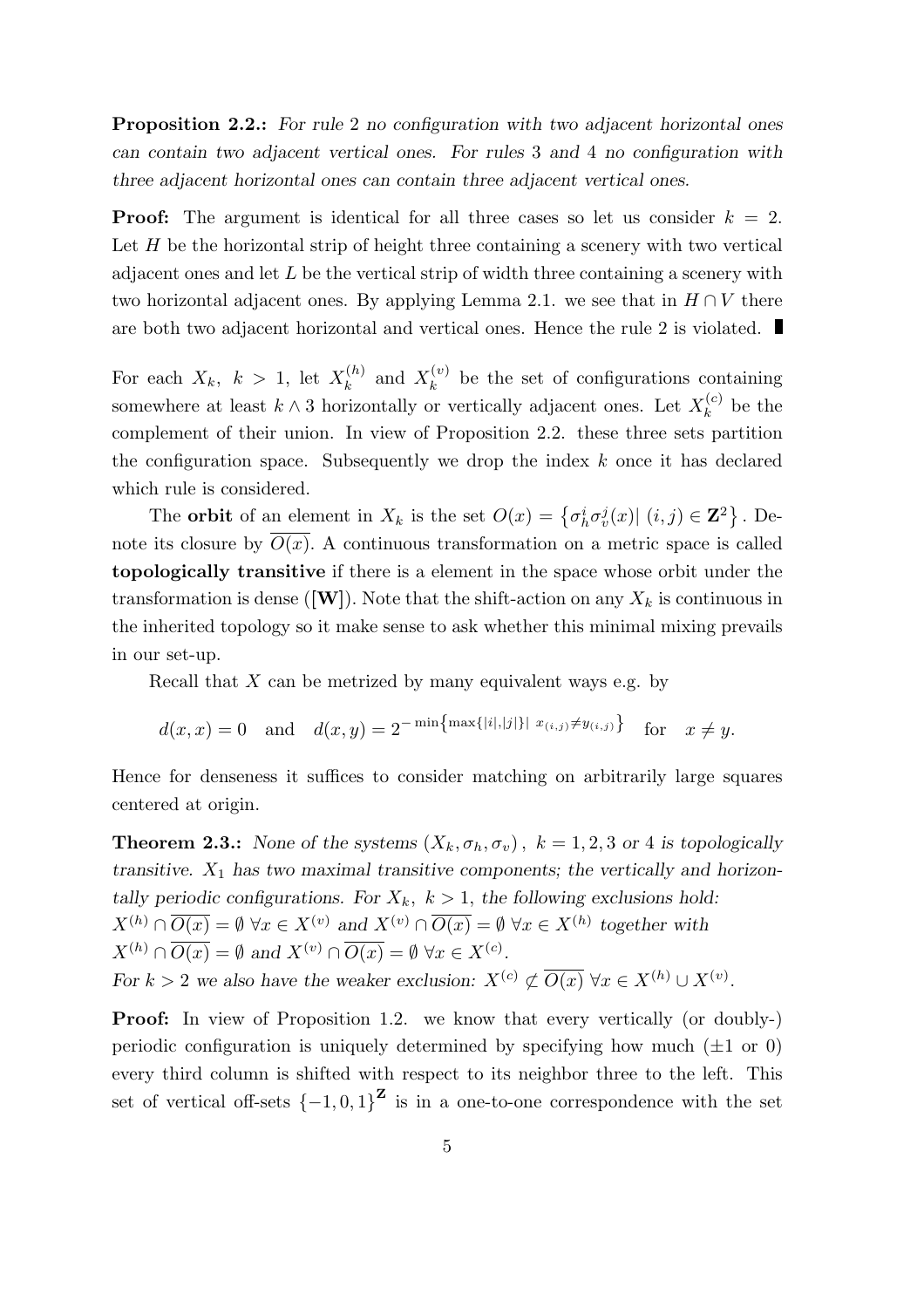Proposition 2.2.: *For rule* 2 *no configuration with two adjacent horizontal ones can contain two adjacent vertical ones. For rules* 3 *and* 4 *no configuration with three adjacent horizontal ones can contain three adjacent vertical ones.*

**Proof:** The argument is identical for all three cases so let us consider  $k = 2$ . Let  $H$  be the horizontal strip of height three containing a scenery with two vertical adjacent ones and let  $L$  be the vertical strip of width three containing a scenery with two horizontal adjacent ones. By applying Lemma 2.1. we see that in  $H \cap V$  there are both two adjacent horizontal and vertical ones. Hence the rule 2 is violated.

For each  $X_k$ ,  $k > 1$ , let  $X_k^{(h)}$  $\mathbf{x}_k^{(h)}$  and  $\mathbf{x}_k^{(v)}$  $\kappa^{(v)}$  be the set of configurations containing somewhere at least  $k \wedge 3$  horizontally or vertically adjacent ones. Let  $X_k^{(c)}$  $\mathbf{a}_k^{(c)}$  be the complement of their union. In view of Proposition 2.2. these three sets partition the configuration space. Subsequently we drop the index  $k$  once it has declared which rule is considered.

The **orbit** of an element in  $X_k$  is the set  $O(x) = \{\sigma_h^i \sigma_v^j(x) | (i,j) \in \mathbb{Z}^2\}$ . Denote its closure by  $O(x)$ . A continuous transformation on a metric space is called topologically transitive if there is a element in the space whose orbit under the transformation is dense ([W]). Note that the shift-action on any  $X_k$  is continuous in the inherited topology so it make sense to ask whether this minimal mixing prevails in our set-up.

Recall that  $X$  can be metrized by many equivalent ways e.g. by

$$
d(x, x) = 0
$$
 and  $d(x, y) = 2^{-\min{\max\{|i|, |j|\}} \|x_{(i,j)} \neq y_{(i,j)}\}$  for  $x \neq y$ .

Hence for denseness it suffices to consider matching on arbitrarily large squares centered at origin.

**Theorem 2.3.:** *None of the systems*  $(X_k, \sigma_h, \sigma_v)$ ,  $k = 1, 2, 3$  *or* 4 *is topologically transitive.*  $X_1$  *has two maximal transitive components; the vertically and horizontally periodic configurations. For*  $X_k$ ,  $k > 1$ , *the following exclusions hold:*  $X^{(h)} \cap \overline{O(x)} = \emptyset \,\forall x \in X^{(v)} \text{ and } X^{(v)} \cap \overline{O(x)} = \emptyset \,\forall x \in X^{(h)} \text{ together with }$  $X^{(h)} \cap \overline{O(x)} = \emptyset$  and  $X^{(v)} \cap \overline{O(x)} = \emptyset$   $\forall x \in X^{(c)}$ . *For*  $k > 2$  *we also have the weaker exclusion:*  $X^{(c)} \not\subset \overline{O(x)} \,\forall x \in X^{(h)} \cup X^{(v)}$ .

**Proof:** In view of Proposition 1.2. we know that every vertically (or doubly-) periodic configuration is uniquely determined by specifying how much  $(\pm 1 \text{ or } 0)$ every third column is shifted with respect to its neighbor three to the left. This set of vertical off-sets  $\{-1,0,1\}^{\mathbf{Z}}$  is in a one-to-one correspondence with the set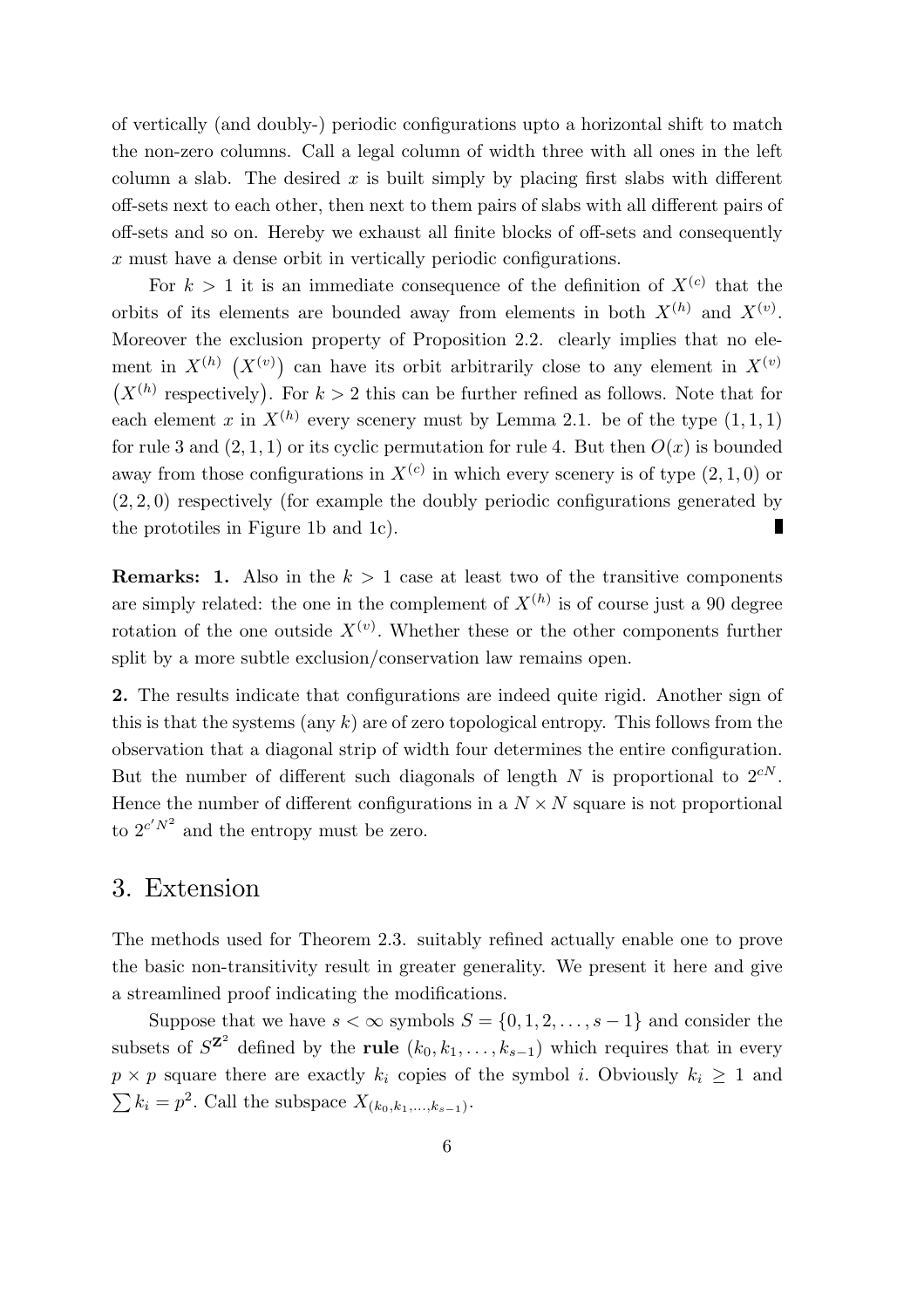of vertically (and doubly-) periodic configurations upto a horizontal shift to match the non-zero columns. Call a legal column of width three with all ones in the left column a slab. The desired x is built simply by placing first slabs with different off-sets next to each other, then next to them pairs of slabs with all different pairs of off-sets and so on. Hereby we exhaust all finite blocks of off-sets and consequently x must have a dense orbit in vertically periodic configurations.

For  $k > 1$  it is an immediate consequence of the definition of  $X^{(c)}$  that the orbits of its elements are bounded away from elements in both  $X^{(h)}$  and  $X^{(v)}$ . Moreover the exclusion property of Proposition 2.2. clearly implies that no element in  $X^{(h)}$   $(X^{(v)})$  can have its orbit arbitrarily close to any element in  $X^{(v)}$  $(X^{(h)}$  respectively). For  $k > 2$  this can be further refined as follows. Note that for each element x in  $X^{(h)}$  every scenery must by Lemma 2.1. be of the type  $(1,1,1)$ for rule 3 and  $(2, 1, 1)$  or its cyclic permutation for rule 4. But then  $O(x)$  is bounded away from those configurations in  $X^{(c)}$  in which every scenery is of type  $(2, 1, 0)$  or (2, 2, 0) respectively (for example the doubly periodic configurations generated by П the prototiles in Figure 1b and 1c).

**Remarks: 1.** Also in the  $k > 1$  case at least two of the transitive components are simply related: the one in the complement of  $X^{(h)}$  is of course just a 90 degree rotation of the one outside  $X^{(v)}$ . Whether these or the other components further split by a more subtle exclusion/conservation law remains open.

2. The results indicate that configurations are indeed quite rigid. Another sign of this is that the systems (any  $k$ ) are of zero topological entropy. This follows from the observation that a diagonal strip of width four determines the entire configuration. But the number of different such diagonals of length N is proportional to  $2^{cN}$ . Hence the number of different configurations in a  $N \times N$  square is not proportional to  $2^{c'N^2}$  and the entropy must be zero.

### 3. Extension

The methods used for Theorem 2.3. suitably refined actually enable one to prove the basic non-transitivity result in greater generality. We present it here and give a streamlined proof indicating the modifications.

Suppose that we have  $s < \infty$  symbols  $S = \{0, 1, 2, \ldots, s - 1\}$  and consider the subsets of  $S^{\mathbf{Z}^2}$  defined by the **rule**  $(k_0, k_1, \ldots, k_{s-1})$  which requires that in every  $p \times p$  square there are exactly  $k_i$  copies of the symbol i. Obviously  $k_i \geq 1$  and  $\sum k_i = p^2$ . Call the subspace  $X_{(k_0, k_1, ..., k_{s-1})}$ .